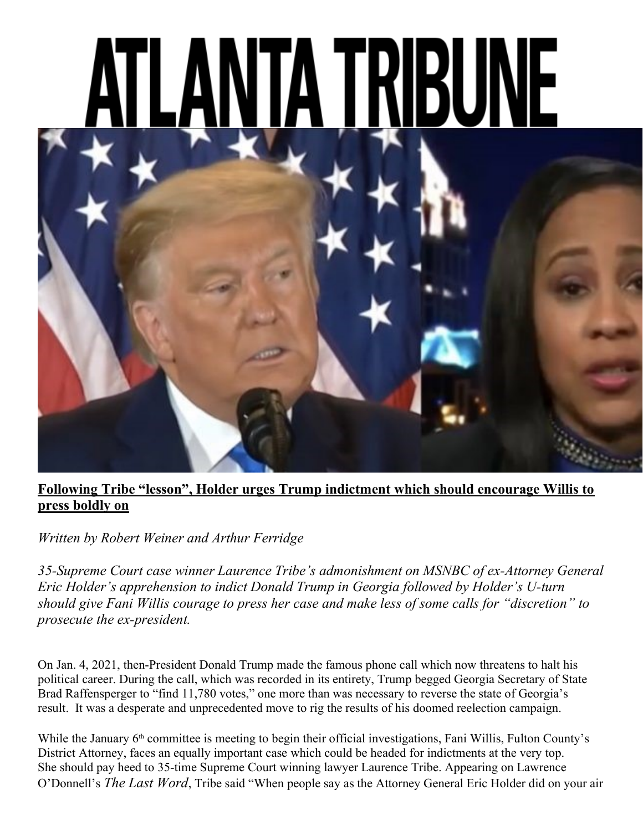

## Following Tribe "lesson", Holder urges Trump indictment which should encourage Willis to press boldly on

Written by Robert Weiner and Arthur Ferridge

35-Supreme Court case winner Laurence Tribe's admonishment on MSNBC of ex-Attorney General Eric Holder's apprehension to indict Donald Trump in Georgia followed by Holder's U-turn should give Fani Willis courage to press her case and make less of some calls for "discretion" to prosecute the ex-president.

On Jan. 4, 2021, then-President Donald Trump made the famous phone call which now threatens to halt his political career. During the call, which was recorded in its entirety, Trump begged Georgia Secretary of State Brad Raffensperger to "find 11,780 votes," one more than was necessary to reverse the state of Georgia's result. It was a desperate and unprecedented move to rig the results of his doomed reelection campaign.

While the January 6<sup>th</sup> committee is meeting to begin their official investigations, Fani Willis, Fulton County's District Attorney, faces an equally important case which could be headed for indictments at the very top. She should pay heed to 35-time Supreme Court winning lawyer Laurence Tribe. Appearing on Lawrence O'Donnell's The Last Word, Tribe said "When people say as the Attorney General Eric Holder did on your air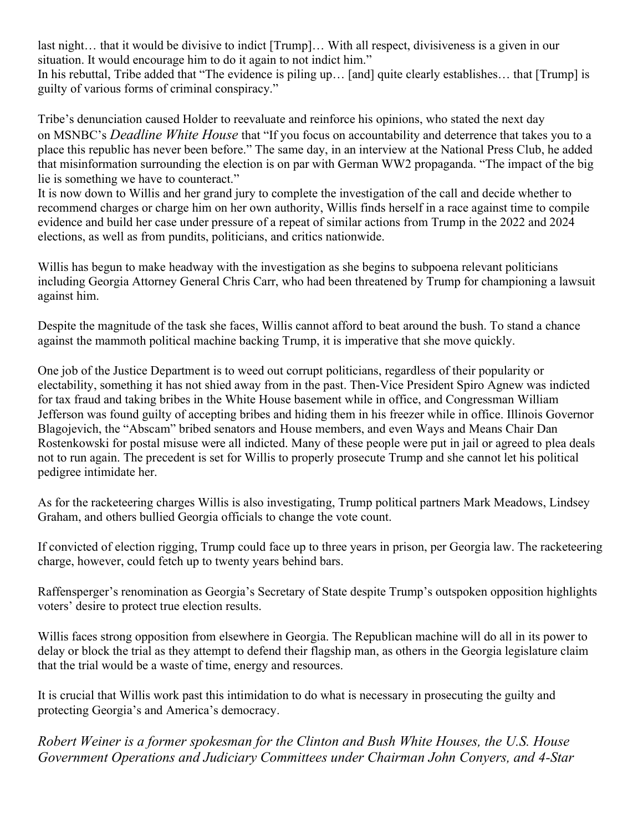last night… that it would be divisive to indict [Trump]… With all respect, divisiveness is a given in our situation. It would encourage him to do it again to not indict him."

In his rebuttal, Tribe added that "The evidence is piling up… [and] quite clearly establishes… that [Trump] is guilty of various forms of criminal conspiracy."

Tribe's denunciation caused Holder to reevaluate and reinforce his opinions, who stated the next day on MSNBC's Deadline White House that "If you focus on accountability and deterrence that takes you to a place this republic has never been before." The same day, in an interview at the National Press Club, he added that misinformation surrounding the election is on par with German WW2 propaganda. "The impact of the big lie is something we have to counteract."

It is now down to Willis and her grand jury to complete the investigation of the call and decide whether to recommend charges or charge him on her own authority, Willis finds herself in a race against time to compile evidence and build her case under pressure of a repeat of similar actions from Trump in the 2022 and 2024 elections, as well as from pundits, politicians, and critics nationwide.

Willis has begun to make headway with the investigation as she begins to subpoena relevant politicians including Georgia Attorney General Chris Carr, who had been threatened by Trump for championing a lawsuit against him.

Despite the magnitude of the task she faces, Willis cannot afford to beat around the bush. To stand a chance against the mammoth political machine backing Trump, it is imperative that she move quickly.

One job of the Justice Department is to weed out corrupt politicians, regardless of their popularity or electability, something it has not shied away from in the past. Then-Vice President Spiro Agnew was indicted for tax fraud and taking bribes in the White House basement while in office, and Congressman William Jefferson was found guilty of accepting bribes and hiding them in his freezer while in office. Illinois Governor Blagojevich, the "Abscam" bribed senators and House members, and even Ways and Means Chair Dan Rostenkowski for postal misuse were all indicted. Many of these people were put in jail or agreed to plea deals not to run again. The precedent is set for Willis to properly prosecute Trump and she cannot let his political pedigree intimidate her.

As for the racketeering charges Willis is also investigating, Trump political partners Mark Meadows, Lindsey Graham, and others bullied Georgia officials to change the vote count.

If convicted of election rigging, Trump could face up to three years in prison, per Georgia law. The racketeering charge, however, could fetch up to twenty years behind bars.

Raffensperger's renomination as Georgia's Secretary of State despite Trump's outspoken opposition highlights voters' desire to protect true election results.

Willis faces strong opposition from elsewhere in Georgia. The Republican machine will do all in its power to delay or block the trial as they attempt to defend their flagship man, as others in the Georgia legislature claim that the trial would be a waste of time, energy and resources.

It is crucial that Willis work past this intimidation to do what is necessary in prosecuting the guilty and protecting Georgia's and America's democracy.

Robert Weiner is a former spokesman for the Clinton and Bush White Houses, the U.S. House Government Operations and Judiciary Committees under Chairman John Conyers, and 4-Star